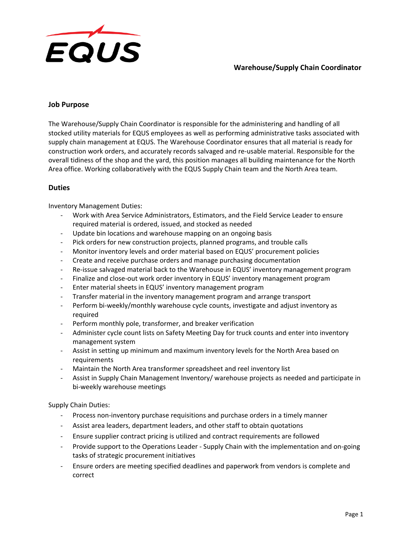

## **Warehouse/Supply Chain Coordinator**

### **Job Purpose**

The Warehouse/Supply Chain Coordinator is responsible for the administering and handling of all stocked utility materials for EQUS employees as well as performing administrative tasks associated with supply chain management at EQUS. The Warehouse Coordinator ensures that all material is ready for construction work orders, and accurately records salvaged and re-usable material. Responsible for the overall tidiness of the shop and the yard, this position manages all building maintenance for the North Area office. Working collaboratively with the EQUS Supply Chain team and the North Area team.

## **Duties**

Inventory Management Duties:

- Work with Area Service Administrators, Estimators, and the Field Service Leader to ensure required material is ordered, issued, and stocked as needed
- Update bin locations and warehouse mapping on an ongoing basis
- Pick orders for new construction projects, planned programs, and trouble calls
- Monitor inventory levels and order material based on EQUS' procurement policies
- Create and receive purchase orders and manage purchasing documentation
- Re-issue salvaged material back to the Warehouse in EQUS' inventory management program
- Finalize and close-out work order inventory in EQUS' inventory management program
- Enter material sheets in EQUS' inventory management program
- Transfer material in the inventory management program and arrange transport
- Perform bi-weekly/monthly warehouse cycle counts, investigate and adjust inventory as required
- Perform monthly pole, transformer, and breaker verification
- Administer cycle count lists on Safety Meeting Day for truck counts and enter into inventory management system
- Assist in setting up minimum and maximum inventory levels for the North Area based on requirements
- Maintain the North Area transformer spreadsheet and reel inventory list
- Assist in Supply Chain Management Inventory/ warehouse projects as needed and participate in bi-weekly warehouse meetings

Supply Chain Duties:

- Process non-inventory purchase requisitions and purchase orders in a timely manner
- Assist area leaders, department leaders, and other staff to obtain quotations
- Ensure supplier contract pricing is utilized and contract requirements are followed
- Provide support to the Operations Leader Supply Chain with the implementation and on-going tasks of strategic procurement initiatives
- Ensure orders are meeting specified deadlines and paperwork from vendors is complete and correct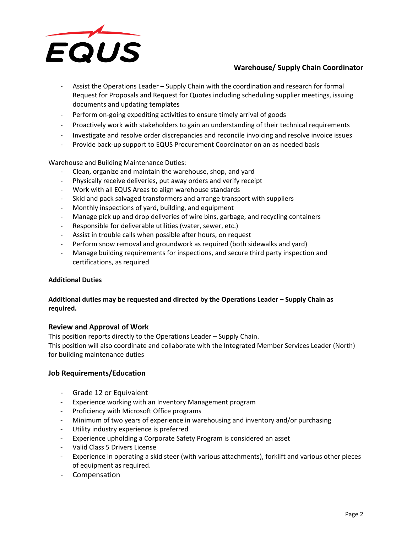

# **Warehouse/ Supply Chain Coordinator**

- Assist the Operations Leader Supply Chain with the coordination and research for formal Request for Proposals and Request for Quotes including scheduling supplier meetings, issuing documents and updating templates
- Perform on-going expediting activities to ensure timely arrival of goods
- Proactively work with stakeholders to gain an understanding of their technical requirements
- Investigate and resolve order discrepancies and reconcile invoicing and resolve invoice issues
- Provide back-up support to EQUS Procurement Coordinator on an as needed basis

Warehouse and Building Maintenance Duties:

- Clean, organize and maintain the warehouse, shop, and yard
- Physically receive deliveries, put away orders and verify receipt
- Work with all EQUS Areas to align warehouse standards
- Skid and pack salvaged transformers and arrange transport with suppliers
- Monthly inspections of yard, building, and equipment
- Manage pick up and drop deliveries of wire bins, garbage, and recycling containers
- Responsible for deliverable utilities (water, sewer, etc.)
- Assist in trouble calls when possible after hours, on request
- Perform snow removal and groundwork as required (both sidewalks and yard)
- Manage building requirements for inspections, and secure third party inspection and certifications, as required

#### **Additional Duties**

### **Additional duties may be requested and directed by the Operations Leader – Supply Chain as required.**

### **Review and Approval of Work**

This position reports directly to the Operations Leader – Supply Chain.

This position will also coordinate and collaborate with the Integrated Member Services Leader (North) for building maintenance duties

#### **Job Requirements/Education**

- Grade 12 or Equivalent
- Experience working with an Inventory Management program
- Proficiency with Microsoft Office programs
- Minimum of two years of experience in warehousing and inventory and/or purchasing
- Utility industry experience is preferred
- Experience upholding a Corporate Safety Program is considered an asset
- Valid Class 5 Drivers License
- Experience in operating a skid steer (with various attachments), forklift and various other pieces of equipment as required.
- Compensation